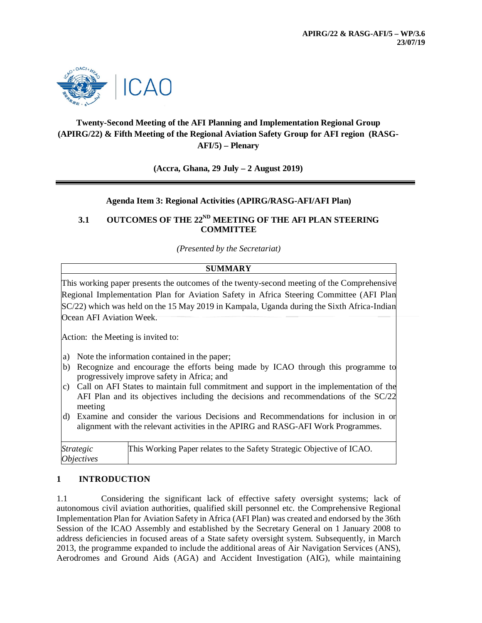

# **Twenty-Second Meeting of the AFI Planning and Implementation Regional Group (APIRG/22) & Fifth Meeting of the Regional Aviation Safety Group for AFI region (RASG-AFI/5) – Plenary**

**(Accra, Ghana, 29 July – 2 August 2019)**

### **Agenda Item 3: Regional Activities (APIRG/RASG-AFI/AFI Plan)**

## **3.1 OUTCOMES OF THE 22ND MEETING OF THE AFI PLAN STEERING COMMITTEE**

*(Presented by the Secretariat)*

#### **SUMMARY**

This working paper presents the outcomes of the twenty-second meeting of the Comprehensive Regional Implementation Plan for Aviation Safety in Africa Steering Committee (AFI Plan SC/22) which was held on the 15 May 2019 in Kampala, Uganda during the Sixth Africa-Indian Ocean AFI Aviation Week.

Action: the Meeting is invited to:

- a) Note the information contained in the paper;
- b) Recognize and encourage the efforts being made by ICAO through this programme to progressively improve safety in Africa; and
- c) Call on AFI States to maintain full commitment and support in the implementation of the AFI Plan and its objectives including the decisions and recommendations of the SC/22 meeting
- d) Examine and consider the various Decisions and Recommendations for inclusion in or alignment with the relevant activities in the APIRG and RASG-AFI Work Programmes.

| <i>Strategic</i>         | This Working Paper relates to the Safety Strategic Objective of ICAO. |
|--------------------------|-----------------------------------------------------------------------|
| <i><b>Objectives</b></i> |                                                                       |

#### **1 INTRODUCTION**

1.1 Considering the significant lack of effective safety oversight systems; lack of autonomous civil aviation authorities, qualified skill personnel etc. the Comprehensive Regional Implementation Plan for Aviation Safety in Africa (AFI Plan) was created and endorsed by the 36th Session of the ICAO Assembly and established by the Secretary General on 1 January 2008 to address deficiencies in focused areas of a State safety oversight system. Subsequently, in March 2013, the programme expanded to include the additional areas of Air Navigation Services (ANS), Aerodromes and Ground Aids (AGA) and Accident Investigation (AIG), while maintaining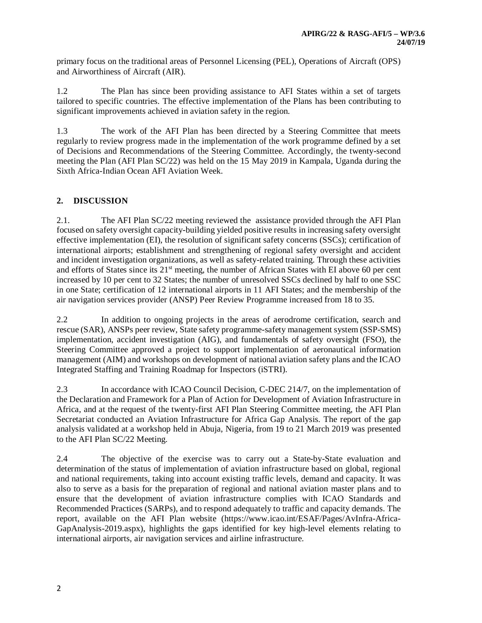primary focus on the traditional areas of Personnel Licensing (PEL), Operations of Aircraft (OPS) and Airworthiness of Aircraft (AIR).

1.2 The Plan has since been providing assistance to AFI States within a set of targets tailored to specific countries. The effective implementation of the Plans has been contributing to significant improvements achieved in aviation safety in the region.

1.3 The work of the AFI Plan has been directed by a Steering Committee that meets regularly to review progress made in the implementation of the work programme defined by a set of Decisions and Recommendations of the Steering Committee. Accordingly, the twenty-second meeting the Plan (AFI Plan SC/22) was held on the 15 May 2019 in Kampala, Uganda during the Sixth Africa-Indian Ocean AFI Aviation Week.

## **2. DISCUSSION**

2.1. The AFI Plan SC/22 meeting reviewed the assistance provided through the AFI Plan focused on safety oversight capacity-building yielded positive results in increasing safety oversight effective implementation (EI), the resolution of significant safety concerns (SSCs); certification of international airports; establishment and strengthening of regional safety oversight and accident and incident investigation organizations, as well as safety-related training. Through these activities and efforts of States since its 21<sup>st</sup> meeting, the number of African States with EI above 60 per cent increased by 10 per cent to 32 States; the number of unresolved SSCs declined by half to one SSC in one State; certification of 12 international airports in 11 AFI States; and the membership of the air navigation services provider (ANSP) Peer Review Programme increased from 18 to 35.

2.2 In addition to ongoing projects in the areas of aerodrome certification, search and rescue (SAR), ANSPs peer review, State safety programme-safety management system (SSP-SMS) implementation, accident investigation (AIG), and fundamentals of safety oversight (FSO), the Steering Committee approved a project to support implementation of aeronautical information management (AIM) and workshops on development of national aviation safety plans and the ICAO Integrated Staffing and Training Roadmap for Inspectors (iSTRI).

2.3 In accordance with ICAO Council Decision, C-DEC 214/7, on the implementation of the Declaration and Framework for a Plan of Action for Development of Aviation Infrastructure in Africa, and at the request of the twenty-first AFI Plan Steering Committee meeting, the AFI Plan Secretariat conducted an Aviation Infrastructure for Africa Gap Analysis. The report of the gap analysis validated at a workshop held in Abuja, Nigeria, from 19 to 21 March 2019 was presented to the AFI Plan SC/22 Meeting.

2.4 The objective of the exercise was to carry out a State-by-State evaluation and determination of the status of implementation of aviation infrastructure based on global, regional and national requirements, taking into account existing traffic levels, demand and capacity. It was also to serve as a basis for the preparation of regional and national aviation master plans and to ensure that the development of aviation infrastructure complies with ICAO Standards and Recommended Practices (SARPs), and to respond adequately to traffic and capacity demands. The report, available on the AFI Plan website (https://www.icao.int/ESAF/Pages/AvInfra-Africa-GapAnalysis-2019.aspx), highlights the gaps identified for key high-level elements relating to international airports, air navigation services and airline infrastructure.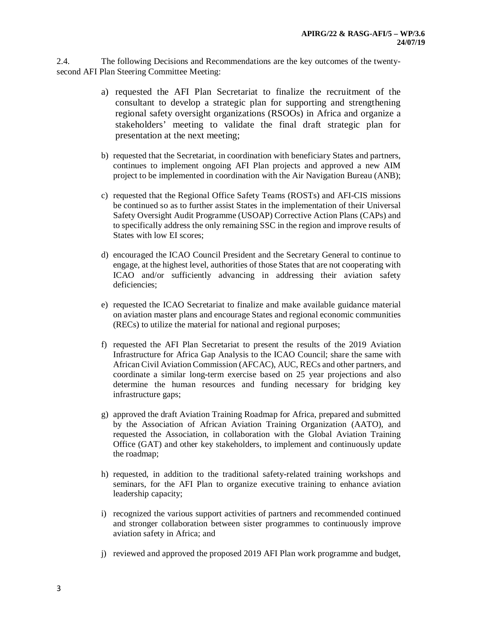2.4. The following Decisions and Recommendations are the key outcomes of the twentysecond AFI Plan Steering Committee Meeting:

- a) requested the AFI Plan Secretariat to finalize the recruitment of the consultant to develop a strategic plan for supporting and strengthening regional safety oversight organizations (RSOOs) in Africa and organize a stakeholders' meeting to validate the final draft strategic plan for presentation at the next meeting;
- b) requested that the Secretariat, in coordination with beneficiary States and partners, continues to implement ongoing AFI Plan projects and approved a new AIM project to be implemented in coordination with the Air Navigation Bureau (ANB);
- c) requested that the Regional Office Safety Teams (ROSTs) and AFI-CIS missions be continued so as to further assist States in the implementation of their Universal Safety Oversight Audit Programme (USOAP) Corrective Action Plans (CAPs) and to specifically address the only remaining SSC in the region and improve results of States with low EI scores;
- d) encouraged the ICAO Council President and the Secretary General to continue to engage, at the highest level, authorities of those States that are not cooperating with ICAO and/or sufficiently advancing in addressing their aviation safety deficiencies;
- e) requested the ICAO Secretariat to finalize and make available guidance material on aviation master plans and encourage States and regional economic communities (RECs) to utilize the material for national and regional purposes;
- f) requested the AFI Plan Secretariat to present the results of the 2019 Aviation Infrastructure for Africa Gap Analysis to the ICAO Council; share the same with African Civil Aviation Commission (AFCAC), AUC, RECs and other partners, and coordinate a similar long-term exercise based on 25 year projections and also determine the human resources and funding necessary for bridging key infrastructure gaps;
- g) approved the draft Aviation Training Roadmap for Africa, prepared and submitted by the Association of African Aviation Training Organization (AATO), and requested the Association, in collaboration with the Global Aviation Training Office (GAT) and other key stakeholders, to implement and continuously update the roadmap;
- h) requested, in addition to the traditional safety-related training workshops and seminars, for the AFI Plan to organize executive training to enhance aviation leadership capacity;
- i) recognized the various support activities of partners and recommended continued and stronger collaboration between sister programmes to continuously improve aviation safety in Africa; and
- j) reviewed and approved the proposed 2019 AFI Plan work programme and budget,